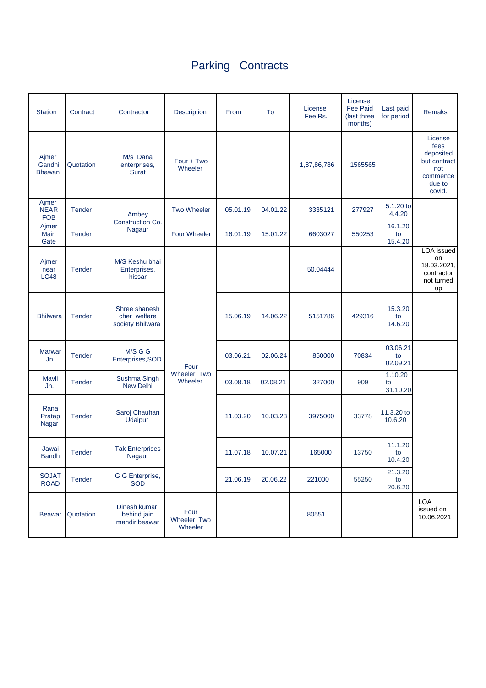## Parking Contracts

| <b>Station</b>                     | Contract      | Contractor                                        | <b>Description</b>                    | From     | To       | License<br>Fee Rs. | License<br><b>Fee Paid</b><br>(last three<br>months) | Last paid<br>for period    | <b>Remaks</b>                                                                       |
|------------------------------------|---------------|---------------------------------------------------|---------------------------------------|----------|----------|--------------------|------------------------------------------------------|----------------------------|-------------------------------------------------------------------------------------|
| Ajmer<br>Gandhi<br><b>Bhawan</b>   | Quotation     | M/s Dana<br>enterprises,<br><b>Surat</b>          | Four + Two<br>Wheeler                 |          |          | 1,87,86,786        | 1565565                                              |                            | License<br>fees<br>deposited<br>but contract<br>not<br>commence<br>due to<br>covid. |
| Ajmer<br><b>NEAR</b><br><b>FOB</b> | <b>Tender</b> | Ambey<br>Construction Co.<br>Nagaur               | <b>Two Wheeler</b>                    | 05.01.19 | 04.01.22 | 3335121            | 277927                                               | 5.1.20 to<br>4.4.20        |                                                                                     |
| Ajmer<br>Main<br>Gate              | <b>Tender</b> |                                                   | <b>Four Wheeler</b>                   | 16.01.19 | 15.01.22 | 6603027            | 550253                                               | 16.1.20<br>to<br>15.4.20   |                                                                                     |
| Ajmer<br>near<br><b>LC48</b>       | <b>Tender</b> | M/S Keshu bhai<br>Enterprises,<br>hissar          | Four<br><b>Wheeler Two</b><br>Wheeler |          |          | 50,04444           |                                                      |                            | LOA issued<br>on<br>18.03.2021,<br>contractor<br>not turned<br>up                   |
| <b>Bhilwara</b>                    | <b>Tender</b> | Shree shanesh<br>cher welfare<br>society Bhilwara |                                       | 15.06.19 | 14.06.22 | 5151786            | 429316                                               | 15.3.20<br>to<br>14.6.20   |                                                                                     |
| <b>Marwar</b><br>Jn                | <b>Tender</b> | M/S G G<br>Enterprises, SOD.                      |                                       | 03.06.21 | 02.06.24 | 850000             | 70834                                                | 03.06.21<br>to<br>02.09.21 |                                                                                     |
| Mavli<br>Jn.                       | <b>Tender</b> | Sushma Singh<br><b>New Delhi</b>                  |                                       | 03.08.18 | 02.08.21 | 327000             | 909                                                  | 1.10.20<br>to<br>31.10.20  |                                                                                     |
| Rana<br>Pratap<br>Nagar            | <b>Tender</b> | Saroj Chauhan<br>Udaipur                          |                                       | 11.03.20 | 10.03.23 | 3975000            | 33778                                                | 11.3.20 to<br>10.6.20      |                                                                                     |
| Jawai<br><b>Bandh</b>              | <b>Tender</b> | <b>Tak Enterprises</b><br>Nagaur                  |                                       | 11.07.18 | 10.07.21 | 165000             | 13750                                                | 11.1.20<br>to<br>10.4.20   |                                                                                     |
| <b>SOJAT</b><br><b>ROAD</b>        | <b>Tender</b> | G G Enterprise,<br><b>SOD</b>                     |                                       | 21.06.19 | 20.06.22 | 221000             | 55250                                                | 21.3.20<br>to<br>20.6.20   |                                                                                     |
| <b>Beawar</b>                      | Quotation     | Dinesh kumar,<br>behind jain<br>mandir, beawar    | Four<br>Wheeler Two<br>Wheeler        |          |          | 80551              |                                                      |                            | LOA<br>issued on<br>10.06.2021                                                      |